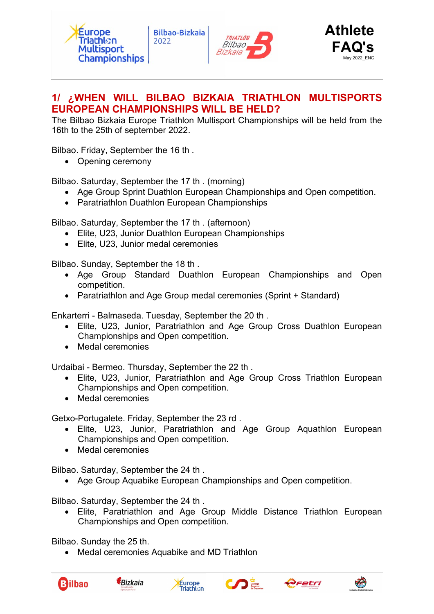



# 1/ ¿WHEN WILL BILBAO BIZKAIA TRIATHLON MULTISPORTS EUROPEAN CHAMPIONSHIPS WILL BE HELD?

The Bilbao Bizkaia Europe Triathlon Multisport Championships will be held from the 16th to the 25th of september 2022.

Bilbao. Friday, September the 16 th .

• Opening ceremony

Bilbao. Saturday, September the 17 th . (morning)

- Age Group Sprint Duathlon European Championships and Open competition.
- Paratriathlon Duathlon European Championships

Bilbao. Saturday, September the 17 th . (afternoon)

- Elite, U23, Junior Duathlon European Championships
- Elite, U23, Junior medal ceremonies

Bilbao. Sunday, September the 18 th .

- Age Group Standard Duathlon European Championships and Open competition.
- Paratriathlon and Age Group medal ceremonies (Sprint + Standard)

Enkarterri - Balmaseda. Tuesday, September the 20 th .

- Elite, U23, Junior, Paratriathlon and Age Group Cross Duathlon European Championships and Open competition.
- Medal ceremonies

Urdaibai - Bermeo. Thursday, September the 22 th .

- Elite, U23, Junior, Paratriathlon and Age Group Cross Triathlon European Championships and Open competition.
- Medal ceremonies

Getxo-Portugalete. Friday, September the 23 rd .

- Elite, U23, Junior, Paratriathlon and Age Group Aquathlon European Championships and Open competition.
- Medal ceremonies

Bilbao. Saturday, September the 24 th .

Age Group Aquabike European Championships and Open competition.

Bilbao. Saturday, September the 24 th .

 Elite, Paratriathlon and Age Group Middle Distance Triathlon European Championships and Open competition.

Bilbao. Sunday the 25 th.

• Medal ceremonies Aquabike and MD Triathlon









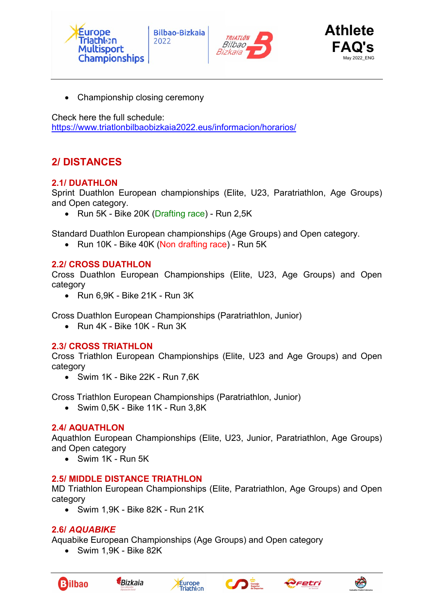





Championship closing ceremony

Check here the full schedule:

https://www.triatlonbilbaobizkaia2022.eus/informacion/horarios/

# 2/ DISTANCES

### 2.1/ DUATHLON

Sprint Duathlon European championships (Elite, U23, Paratriathlon, Age Groups) and Open category.

• Run 5K - Bike 20K (Drafting race) - Run 2.5K

Standard Duathlon European championships (Age Groups) and Open category.

• Run 10K - Bike 40K (Non drafting race) - Run 5K

### 2.2/ CROSS DUATHLON

Cross Duathlon European Championships (Elite, U23, Age Groups) and Open category

 $\bullet$  Run 6,9K - Bike 21K - Run 3K

Cross Duathlon European Championships (Paratriathlon, Junior)

Run 4K - Bike 10K - Run 3K

#### 2.3/ CROSS TRIATHLON

Cross Triathlon European Championships (Elite, U23 and Age Groups) and Open category

 $\bullet$  Swim 1K - Bike 22K - Run 7,6K

Cross Triathlon European Championships (Paratriathlon, Junior)

Swim 0,5K - Bike 11K - Run 3,8K

### 2.4/ AQUATHLON

Aquathlon European Championships (Elite, U23, Junior, Paratriathlon, Age Groups) and Open category

Swim 1K - Run 5K

### 2.5/ MIDDLE DISTANCE TRIATHLON

MD Triathlon European Championships (Elite, Paratriathlon, Age Groups) and Open category

Swim 1,9K - Bike 82K - Run 21K

#### 2.6/ AQUABIKE

Aquabike European Championships (Age Groups) and Open category

Swim 1,9K - Bike 82K











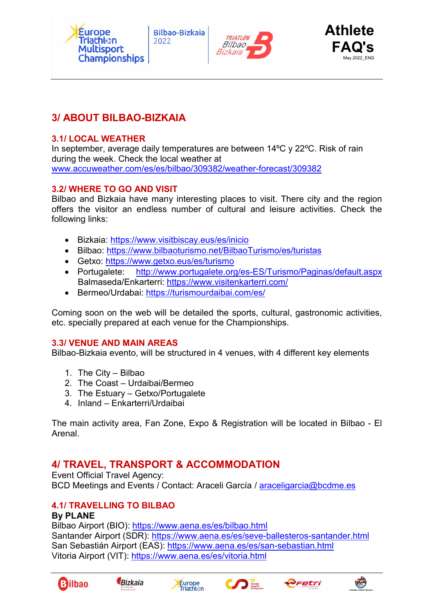





# 3/ ABOUT BILBAO-BIZKAIA

#### 3.1/ LOCAL WEATHER

In september, average daily temperatures are between 14ºC y 22ºC. Risk of rain during the week. Check the local weather at www.accuweather.com/es/es/bilbao/309382/weather-forecast/309382

### 3.2/ WHERE TO GO AND VISIT

Bilbao and Bizkaia have many interesting places to visit. There city and the region offers the visitor an endless number of cultural and leisure activities. Check the following links:

- Bizkaia: https://www.visitbiscay.eus/es/inicio
- Bilbao: https://www.bilbaoturismo.net/BilbaoTurismo/es/turistas
- Getxo: https://www.getxo.eus/es/turismo
- Portugalete: http://www.portugalete.org/es-ES/Turismo/Paginas/default.aspx Balmaseda/Enkarterri: https://www.visitenkarterri.com/
- Bermeo/Urdabai: https://turismourdaibai.com/es/

Coming soon on the web will be detailed the sports, cultural, gastronomic activities, etc. specially prepared at each venue for the Championships.

#### 3.3/ VENUE AND MAIN AREAS

Bilbao-Bizkaia evento, will be structured in 4 venues, with 4 different key elements

- 1. The City Bilbao
- 2. The Coast Urdaibai/Bermeo
- 3. The Estuary Getxo/Portugalete
- 4. Inland Enkarterri/Urdaibai

The main activity area, Fan Zone, Expo & Registration will be located in Bilbao - El Arenal.

# 4/ TRAVEL, TRANSPORT & ACCOMMODATION

Event Official Travel Agency: BCD Meetings and Events / Contact: Araceli García / araceligarcia@bcdme.es

# 4.1/ TRAVELLING TO BILBAO

#### By PLANE

Bilbao Airport (BIO): https://www.aena.es/es/bilbao.html Santander Airport (SDR): https://www.aena.es/es/seve-ballesteros-santander.html San Sebastián Airport (EAS): https://www.aena.es/es/san-sebastian.html Vitoria Airport (VIT): https://www.aena.es/es/vitoria.html











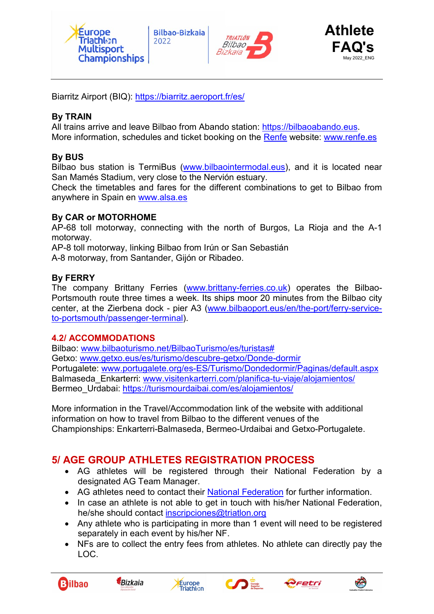





Biarritz Airport (BIQ): https://biarritz.aeroport.fr/es/

### By TRAIN

All trains arrive and leave Bilbao from Abando station: https://bilbaoabando.eus. More information, schedules and ticket booking on the Renfe website: www.renfe.es

### By BUS

Bilbao bus station is TermiBus (www.bilbaointermodal.eus), and it is located near San Mamés Stadium, very close to the Nervión estuary.

Check the timetables and fares for the different combinations to get to Bilbao from anywhere in Spain en www.alsa.es

#### By CAR or MOTORHOME

AP-68 toll motorway, connecting with the north of Burgos, La Rioja and the A-1 motorway.

AP-8 toll motorway, linking Bilbao from Irún or San Sebastián

A-8 motorway, from Santander, Gijón or Ribadeo.

#### By FERRY

The company Brittany Ferries (www.brittany-ferries.co.uk) operates the Bilbao-Portsmouth route three times a week. Its ships moor 20 minutes from the Bilbao city center, at the Zierbena dock - pier A3 (www.bilbaoport.eus/en/the-port/ferry-serviceto-portsmouth/passenger-terminal).

#### 4.2/ ACCOMMODATIONS

Bilbao: www.bilbaoturismo.net/BilbaoTurismo/es/turistas# Getxo: www.getxo.eus/es/turismo/descubre-getxo/Donde-dormir Portugalete: www.portugalete.org/es-ES/Turismo/Dondedormir/Paginas/default.aspx Balmaseda Enkarterri: www.visitenkarterri.com/planifica-tu-viaje/alojamientos/ Bermeo Urdabai: https://turismourdaibai.com/es/alojamientos/

More information in the Travel/Accommodation link of the website with additional information on how to travel from Bilbao to the different venues of the Championships: Enkarterri-Balmaseda, Bermeo-Urdaibai and Getxo-Portugalete.

# 5/ AGE GROUP ATHLETES REGISTRATION PROCESS

- AG athletes will be registered through their National Federation by a designated AG Team Manager.
- AG athletes need to contact their National Federation for further information.
- In case an athlete is not able to get in touch with his/her National Federation, he/she should contact inscripciones@triatlon.org
- Any athlete who is participating in more than 1 event will need to be registered separately in each event by his/her NF.
- NFs are to collect the entry fees from athletes. No athlete can directly pay the LOC.











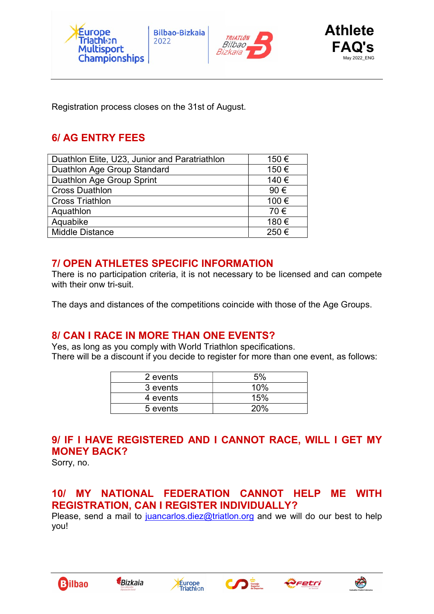





Registration process closes on the 31st of August.

# 6/ AG ENTRY FEES

| Duathlon Elite, U23, Junior and Paratriathlon | 150€  |
|-----------------------------------------------|-------|
| Duathlon Age Group Standard                   | 150€  |
| Duathlon Age Group Sprint                     | 140 € |
| <b>Cross Duathlon</b>                         | 90€   |
| <b>Cross Triathlon</b>                        | 100€  |
| Aquathlon                                     | 70€   |
| Aquabike                                      | 180€  |
| <b>Middle Distance</b>                        | 250€  |

# 7/ OPEN ATHLETES SPECIFIC INFORMATION

There is no participation criteria, it is not necessary to be licensed and can compete with their onw tri-suit.

The days and distances of the competitions coincide with those of the Age Groups.

# 8/ CAN I RACE IN MORE THAN ONE EVENTS?

Yes, as long as you comply with World Triathlon specifications. There will be a discount if you decide to register for more than one event, as follows:

| 2 events | .5% |
|----------|-----|
| 3 events | 10% |
| 4 events | 15% |
| 5 events |     |

# 9/ IF I HAVE REGISTERED AND I CANNOT RACE, WILL I GET MY MONEY BACK?

Sorry, no.

# 10/ MY NATIONAL FEDERATION CANNOT HELP ME WITH REGISTRATION, CAN I REGISTER INDIVIDUALLY?

Please, send a mail to juancarlos.diez@triatlon.org and we will do our best to help you!











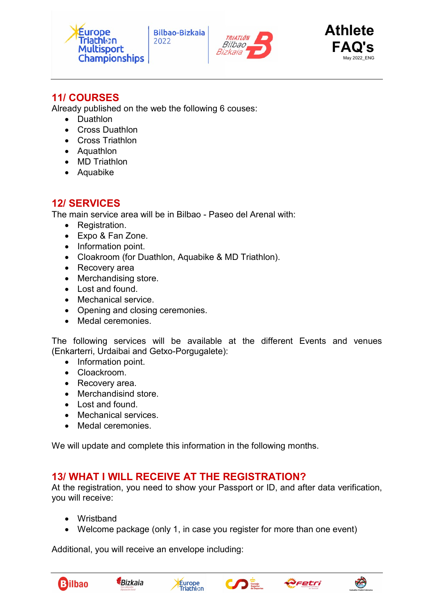





# 11/ COURSES

Already published on the web the following 6 couses:

- Duathlon
- Cross Duathlon
- Cross Triathlon
- Aquathlon
- MD Triathlon
- Aquabike

# 12/ SERVICES

The main service area will be in Bilbao - Paseo del Arenal with:

- Registration.
- Expo & Fan Zone.
- Information point.
- Cloakroom (for Duathlon, Aquabike & MD Triathlon).
- Recovery area
- Merchandising store.
- $\bullet$  Lost and found.
- Mechanical service.
- Opening and closing ceremonies.
- Medal ceremonies.

The following services will be available at the different Events and venues (Enkarterri, Urdaibai and Getxo-Porgugalete):

- Information point.
- Cloackroom.
- Recovery area.
- Merchandisind store.
- Lost and found.
- Mechanical services.
- Medal ceremonies.

We will update and complete this information in the following months.

# 13/ WHAT I WILL RECEIVE AT THE REGISTRATION?

At the registration, you need to show your Passport or ID, and after data verification, you will receive:

- Wristband
- Welcome package (only 1, in case you register for more than one event)

Additional, you will receive an envelope including:









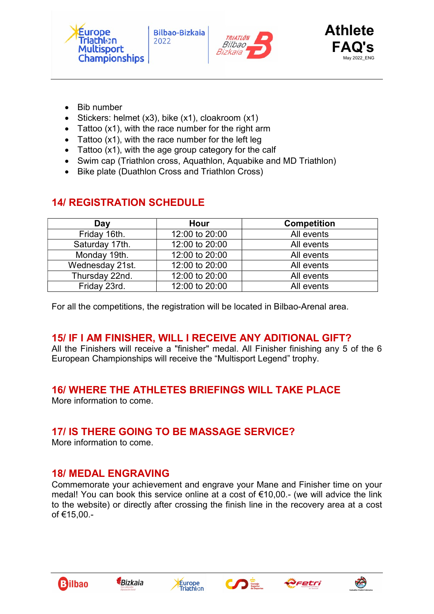





- Bib number
- Stickers: helmet (x3), bike (x1), cloakroom (x1)
- Tattoo (x1), with the race number for the right arm
- Tattoo  $(x1)$ , with the race number for the left leg
- Tattoo (x1), with the age group category for the calf
- Swim cap (Triathlon cross, Aquathlon, Aquabike and MD Triathlon)
- Bike plate (Duathlon Cross and Triathlon Cross)

| Day             | Hour           | <b>Competition</b> |
|-----------------|----------------|--------------------|
| Friday 16th.    | 12:00 to 20:00 | All events         |
| Saturday 17th.  | 12:00 to 20:00 | All events         |
| Monday 19th.    | 12:00 to 20:00 | All events         |
| Wednesday 21st. | 12:00 to 20:00 | All events         |
| Thursday 22nd.  | 12:00 to 20:00 | All events         |
| Friday 23rd.    | 12:00 to 20:00 | All events         |

# 14/ REGISTRATION SCHEDULE

For all the competitions, the registration will be located in Bilbao-Arenal area.

# 15/ IF I AM FINISHER, WILL I RECEIVE ANY ADITIONAL GIFT?

All the Finishers will receive a "finisher" medal. All Finisher finishing any 5 of the 6 European Championships will receive the "Multisport Legend" trophy.

# 16/ WHERE THE ATHLETES BRIEFINGS WILL TAKE PLACE

More information to come.

# 17/ IS THERE GOING TO BE MASSAGE SERVICE?

More information to come.

# 18/ MEDAL ENGRAVING

Commemorate your achievement and engrave your Mane and Finisher time on your medal! You can book this service online at a cost of €10,00.- (we will advice the link to the website) or directly after crossing the finish line in the recovery area at a cost of €15,00.-











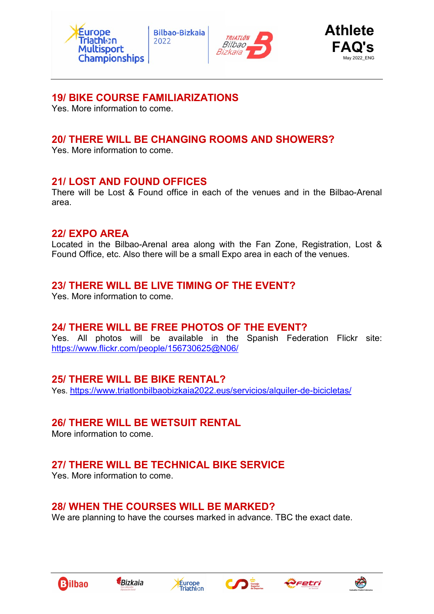





# 19/ BIKE COURSE FAMILIARIZATIONS

Yes. More information to come.

# 20/ THERE WILL BE CHANGING ROOMS AND SHOWERS?

Yes. More information to come.

### 21/ LOST AND FOUND OFFICES

There will be Lost & Found office in each of the venues and in the Bilbao-Arenal area.

### 22/ EXPO AREA

Located in the Bilbao-Arenal area along with the Fan Zone, Registration, Lost & Found Office, etc. Also there will be a small Expo area in each of the venues.

# 23/ THERE WILL BE LIVE TIMING OF THE EVENT?

Yes. More information to come.

# 24/ THERE WILL BE FREE PHOTOS OF THE EVENT?

Yes. All photos will be available in the Spanish Federation Flickr site: https://www.flickr.com/people/156730625@N06/

# 25/ THERE WILL BE BIKE RENTAL?

Yes. https://www.triatlonbilbaobizkaia2022.eus/servicios/alquiler-de-bicicletas/

# 26/ THERE WILL BE WETSUIT RENTAL

More information to come.

# 27/ THERE WILL BE TECHNICAL BIKE SERVICE

Yes. More information to come.

# 28/ WHEN THE COURSES WILL BE MARKED?

We are planning to have the courses marked in advance. TBC the exact date.